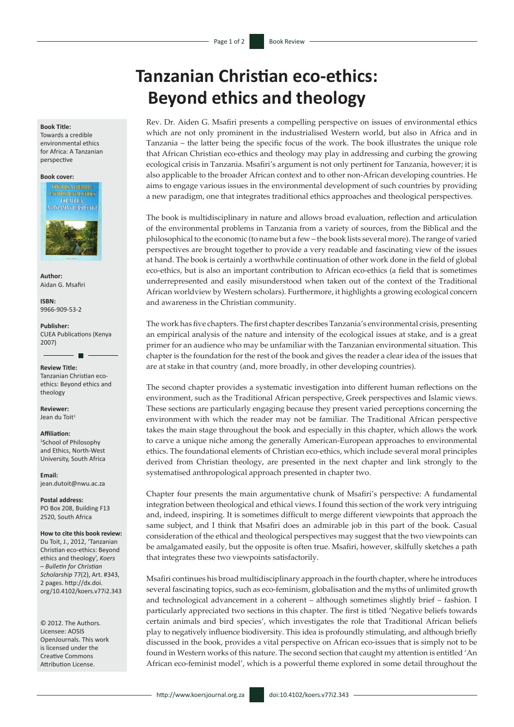## **Tanzanian Christian eco-ethics: Beyond ethics and theology**

Rev. Dr. Aiden G. Msafiri presents a compelling perspective on issues of environmental ethics which are not only prominent in the industrialised Western world, but also in Africa and in Tanzania – the latter being the specific focus of the work. The book illustrates the unique role that African Christian eco-ethics and theology may play in addressing and curbing the growing ecological crisis in Tanzania. Msafiri's argument is not only pertinent for Tanzania, however; it is also applicable to the broader African context and to other non-African developing countries. He aims to engage various issues in the environmental development of such countries by providing a new paradigm, one that integrates traditional ethics approaches and theological perspectives.

The book is multidisciplinary in nature and allows broad evaluation, reflection and articulation of the environmental problems in Tanzania from a variety of sources, from the Biblical and the philosophical to the economic (to name but a few – the book lists several more). The range of varied perspectives are brought together to provide a very readable and fascinating view of the issues at hand. The book is certainly a worthwhile continuation of other work done in the field of global eco-ethics, but is also an important contribution to African eco-ethics (a field that is sometimes underrepresented and easily misunderstood when taken out of the context of the Traditional African worldview by Western scholars). Furthermore, it highlights a growing ecological concern and awareness in the Christian community.

The work has five chapters. The first chapter describes Tanzania's environmental crisis, presenting an empirical analysis of the nature and intensity of the ecological issues at stake, and is a great primer for an audience who may be unfamiliar with the Tanzanian environmental situation. This chapter is the foundation for the rest of the book and gives the reader a clear idea of the issues that are at stake in that country (and, more broadly, in other developing countries).

The second chapter provides a systematic investigation into different human reflections on the environment, such as the Traditional African perspective, Greek perspectives and Islamic views. These sections are particularly engaging because they present varied perceptions concerning the environment with which the reader may not be familiar. The Traditional African perspective takes the main stage throughout the book and especially in this chapter, which allows the work to carve a unique niche among the generally American-European approaches to environmental ethics. The foundational elements of Christian eco-ethics, which include several moral principles derived from Christian theology, are presented in the next chapter and link strongly to the systematised anthropological approach presented in chapter two.

Chapter four presents the main argumentative chunk of Msafiri's perspective: A fundamental integration between theological and ethical views. I found this section of the work very intriguing and, indeed, inspiring. It is sometimes difficult to merge different viewpoints that approach the same subject, and I think that Msafiri does an admirable job in this part of the book. Casual consideration of the ethical and theological perspectives may suggest that the two viewpoints can be amalgamated easily, but the opposite is often true. Msafiri, however, skilfully sketches a path that integrates these two viewpoints satisfactorily.

Msafiri continues his broad multidisciplinary approach in the fourth chapter, where he introduces several fascinating topics, such as eco-feminism, globalisation and the myths of unlimited growth and technological advancement in a coherent – although sometimes slightly brief – fashion. I particularly appreciated two sections in this chapter. The first is titled 'Negative beliefs towards certain animals and bird species', which investigates the role that Traditional African beliefs play to negatively influence biodiversity. This idea is profoundly stimulating, and although briefly discussed in the book, provides a vital perspective on African eco-issues that is simply not to be found in Western works of this nature. The second section that caught my attention is entitled 'An African eco-feminist model', which is a powerful theme explored in some detail throughout the

**Book Title:**

Towards a credible environmental ethics for Africa: A Tanzanian perspective

## **Book cover:**



**Author:** Aidan G. Msafiri

**ISBN:** 9966-909-53-2

**Publisher:** CUEA Publications (Kenya 2007)

**Review Title:** Tanzanian Christian ecoethics: Beyond ethics and theology

**Reviewer:** Jean du Toit<sup>1</sup>

## **Affiliation:**

1 School of Philosophy and Ethics, North-West University, South Africa

**Email:** [jean.dutoit@nwu.ac.za](mailto:jean.dutoit@nwu.ac.za)

**Postal address:** PO Box 208, Building F13 2520, South Africa

**How to cite this book review:**

Du Toit, J., 2012, 'Tanzanian Christian eco-ethics: Beyond ethics and theology', *Koers – Bulletin for Christian Scholarship* 77(2), Art. #343, 2 pages. [http://dx.doi.](http://dx.doi.org/10.4102/koers.v77i1.343) [org/10.4102/koers.v77i2.343](http://dx.doi.org/10.4102/koers.v77i1.343)

© 2012. The Authors. Licensee: AOSIS OpenJournals. This work is licensed under the Creative Commons Attribution License.